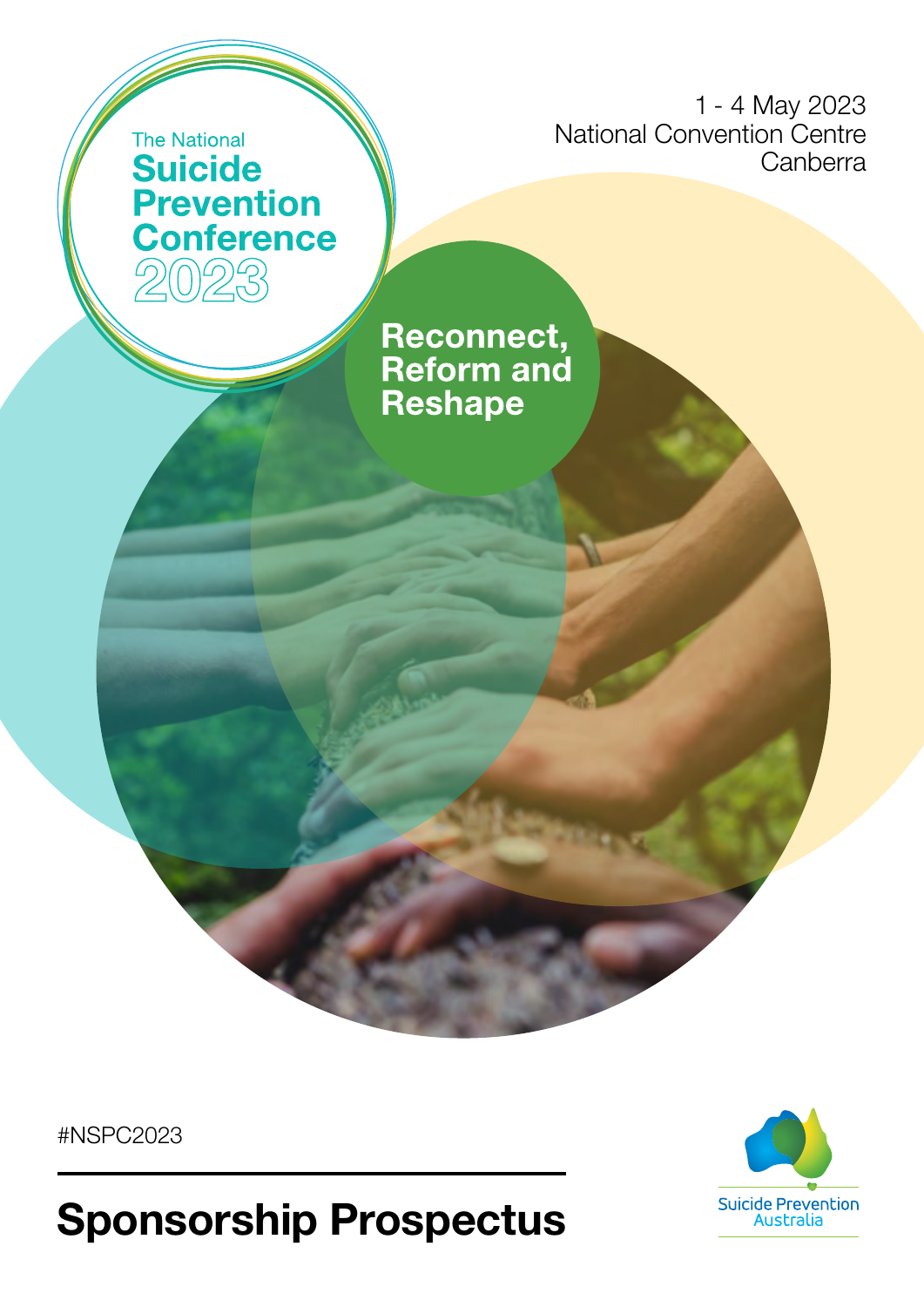1 - 4 May 2023 National Convention Centre **Canberra** 

### The National **Suicide Prevention Conference**

**Reconnect,<br>Reform and Reshape** 

#NSPC2023



Sponsorship Prospectus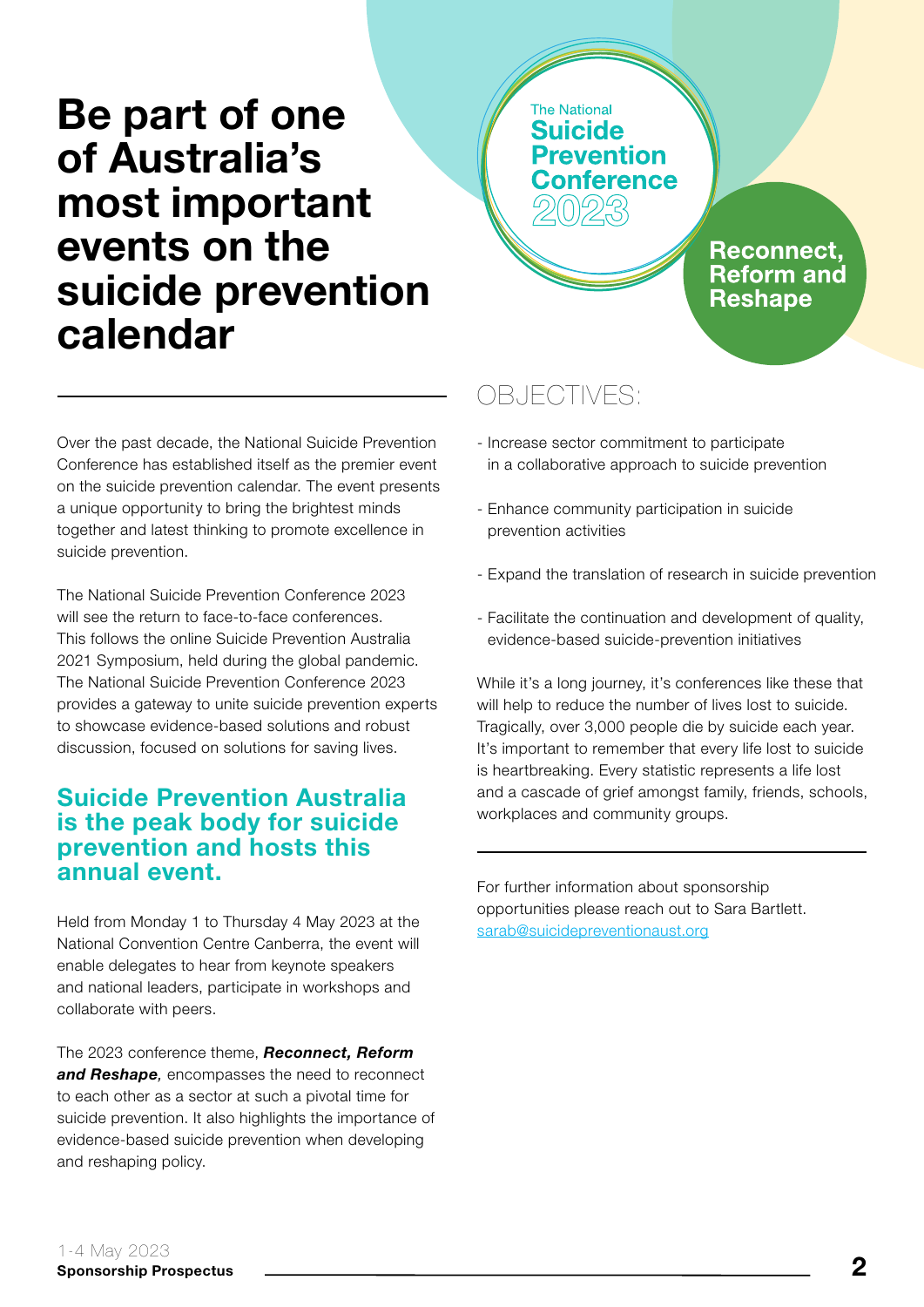# Be part of one of Australia's most important events on the suicide prevention calendar

**The National Suicide Prevention Conference** 

> Reconnect, **Reform and Reshape**

Over the past decade, the National Suicide Prevention Conference has established itself as the premier event on the suicide prevention calendar. The event presents a unique opportunity to bring the brightest minds together and latest thinking to promote excellence in suicide prevention.

The National Suicide Prevention Conference 2023 will see the return to face-to-face conferences. This follows the online Suicide Prevention Australia 2021 Symposium, held during the global pandemic. The National Suicide Prevention Conference 2023 provides a gateway to unite suicide prevention experts to showcase evidence-based solutions and robust discussion, focused on solutions for saving lives.

#### Suicide Prevention Australia is the peak body for suicide prevention and hosts this annual event.

Held from Monday 1 to Thursday 4 May 2023 at the National Convention Centre Canberra, the event will enable delegates to hear from keynote speakers and national leaders, participate in workshops and collaborate with peers.

The 2023 conference theme, *Reconnect, Reform and Reshape,* encompasses the need to reconnect to each other as a sector at such a pivotal time for suicide prevention. It also highlights the importance of evidence-based suicide prevention when developing and reshaping policy.

#### OBJECTIVES:

- Increase sector commitment to participate in a collaborative approach to suicide prevention
- Enhance community participation in suicide prevention activities
- Expand the translation of research in suicide prevention
- Facilitate the continuation and development of quality, evidence-based suicide-prevention initiatives

While it's a long journey, it's conferences like these that will help to reduce the number of lives lost to suicide. Tragically, over 3,000 people die by suicide each year. It's important to remember that every life lost to suicide is heartbreaking. Every statistic represents a life lost and a cascade of grief amongst family, friends, schools, workplaces and community groups.

For further information about sponsorship opportunities please reach out to Sara Bartlett. sarab@suicidepreventionaust.org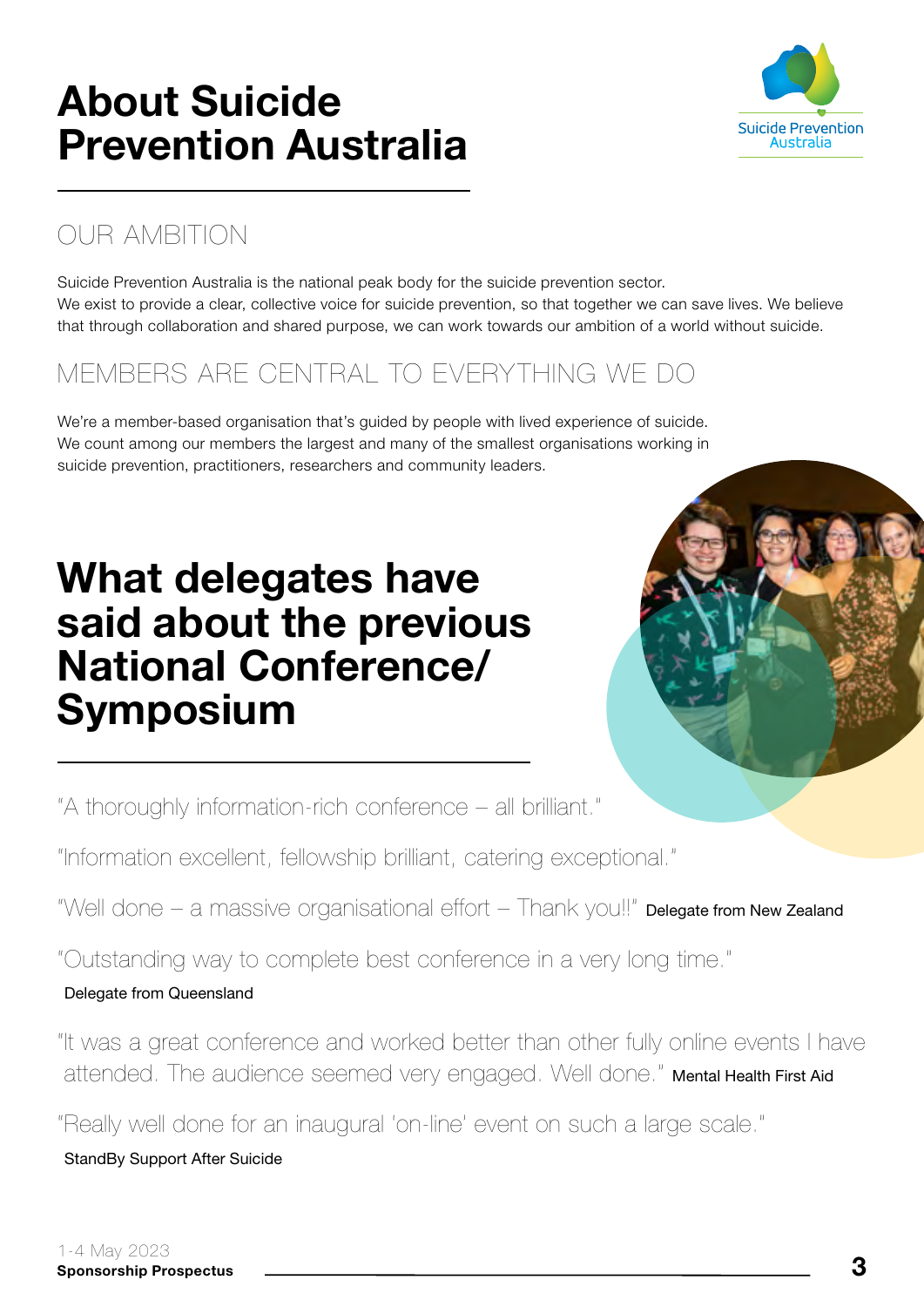# About Suicide Prevention Australia



#### OUR AMBITION

Suicide Prevention Australia is the national peak body for the suicide prevention sector. We exist to provide a clear, collective voice for suicide prevention, so that together we can save lives. We believe that through collaboration and shared purpose, we can work towards our ambition of a world without suicide.

#### MEMBERS ARE CENTRAL TO EVERYTHING WE DO

We're a member-based organisation that's guided by people with lived experience of suicide. We count among our members the largest and many of the smallest organisations working in suicide prevention, practitioners, researchers and community leaders.

# What delegates have said about the previous National Conference/ Symposium



"A thoroughly information-rich conference – all brilliant."

"Information excellent, fellowship brilliant, catering exceptional."

"Well done – a massive organisational effort – Thank you!!" Delegate from New Zealand

"Outstanding way to complete best conference in a very long time."

#### Delegate from Queensland

"It was a great conference and worked better than other fully online events I have attended. The audience seemed very engaged. Well done." Mental Health First Aid

"Really well done for an inaugural 'on-line' event on such a large scale."

StandBy Support After Suicide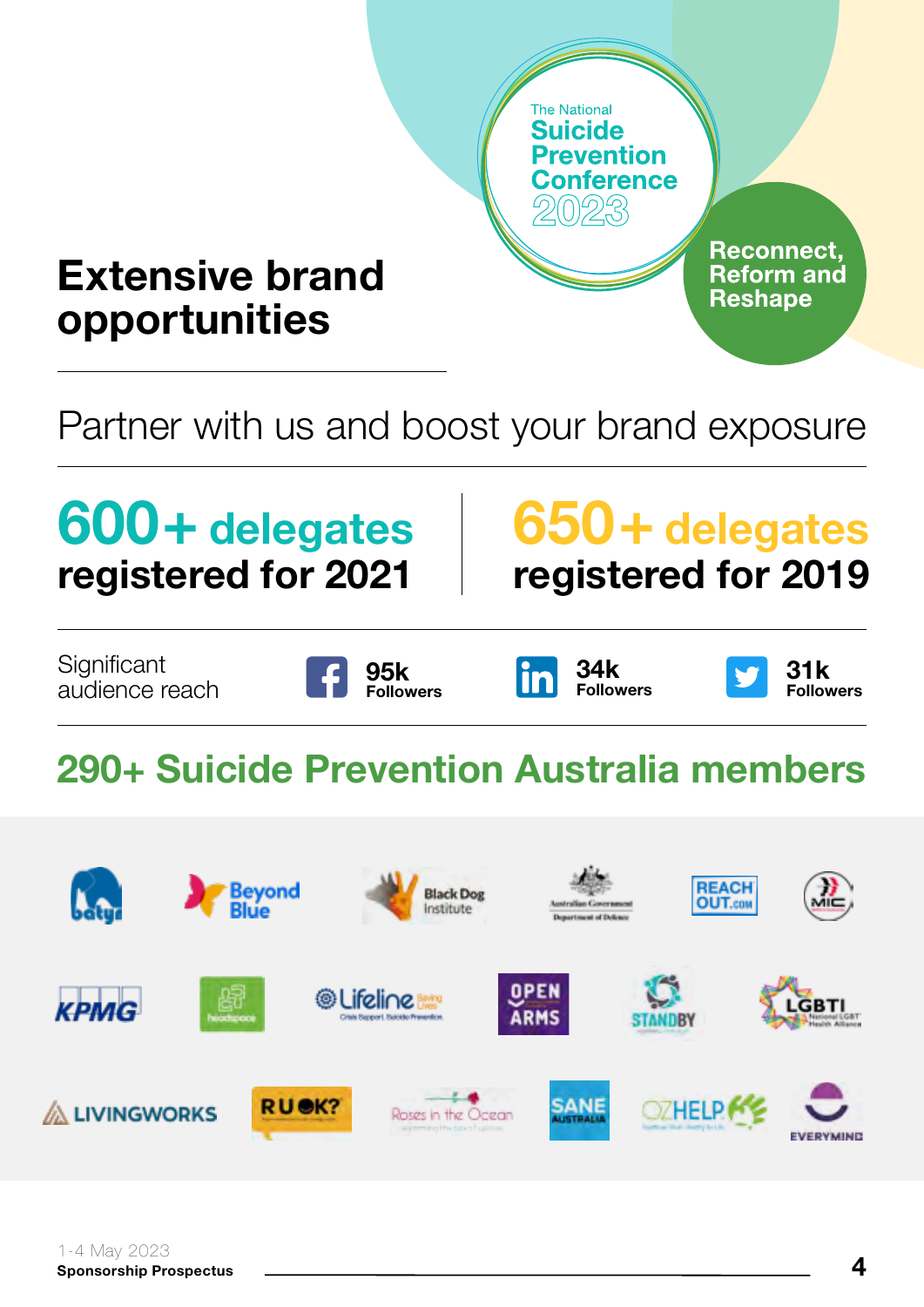

Partner with us and boost your brand exposure

# 600+ delegates<br>registered for 2021

# registered for 2019 650+ delegates

**Significant** audience reach







# 290+ Suicide Prevention Australia members

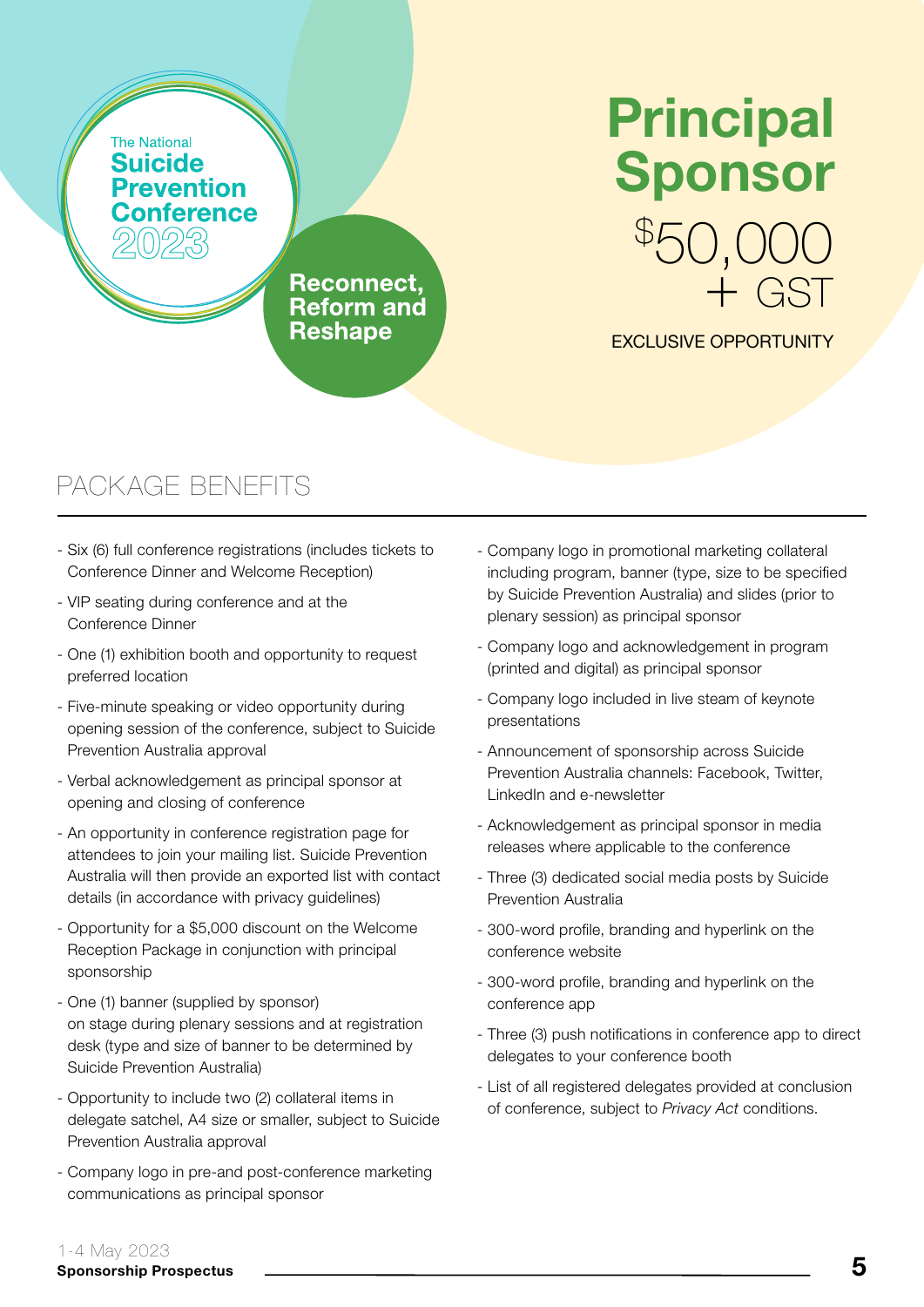# \$ 50,000 Principal Sponsor

**Reconnect. Reform and Reshape** 

#### EXCLUSIVE OPPORTUNITY

+ GST

- Six (6) full conference registrations (includes tickets to Conference Dinner and Welcome Reception)
- VIP seating during conference and at the Conference Dinner
- One (1) exhibition booth and opportunity to request preferred location
- Five-minute speaking or video opportunity during opening session of the conference, subject to Suicide Prevention Australia approval
- Verbal acknowledgement as principal sponsor at opening and closing of conference
- An opportunity in conference registration page for attendees to join your mailing list. Suicide Prevention Australia will then provide an exported list with contact details (in accordance with privacy guidelines)
- Opportunity for a \$5,000 discount on the Welcome Reception Package in conjunction with principal sponsorship
- One (1) banner (supplied by sponsor) on stage during plenary sessions and at registration desk (type and size of banner to be determined by Suicide Prevention Australia)
- Opportunity to include two (2) collateral items in delegate satchel, A4 size or smaller, subject to Suicide Prevention Australia approval
- Company logo in pre-and post-conference marketing communications as principal sponsor
- Company logo in promotional marketing collateral including program, banner (type, size to be specified by Suicide Prevention Australia) and slides (prior to plenary session) as principal sponsor
- Company logo and acknowledgement in program (printed and digital) as principal sponsor
- Company logo included in live steam of keynote presentations
- Announcement of sponsorship across Suicide Prevention Australia channels: Facebook, Twitter, LinkedIn and e-newsletter
- Acknowledgement as principal sponsor in media releases where applicable to the conference
- Three (3) dedicated social media posts by Suicide Prevention Australia
- 300-word profile, branding and hyperlink on the conference website
- 300-word profile, branding and hyperlink on the conference app
- Three (3) push notifications in conference app to direct delegates to your conference booth
- List of all registered delegates provided at conclusion of conference, subject to *Privacy Act* conditions.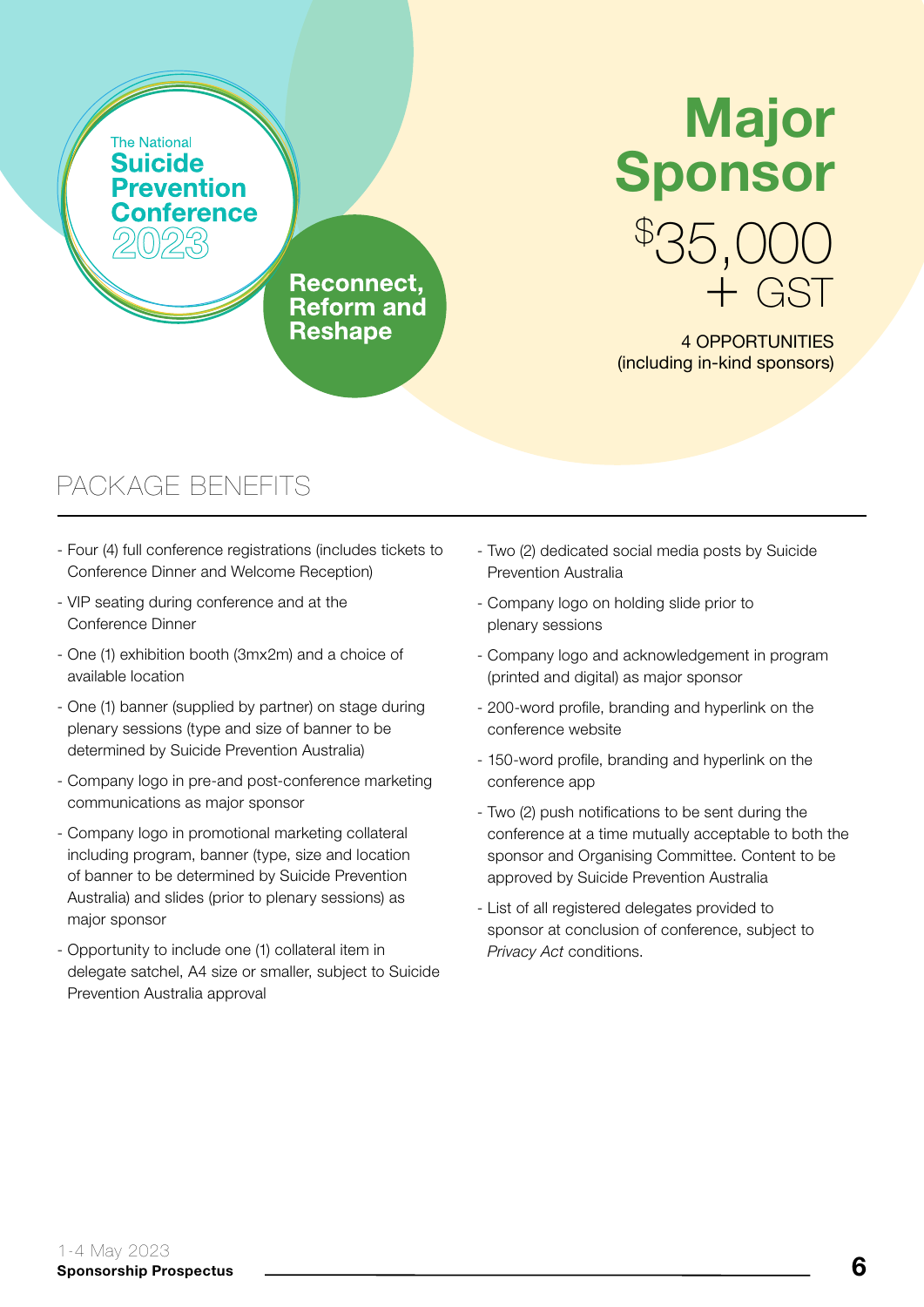# \$ 35,000 + GST Major Sponsor

4 OPPORTUNITIES (including in-kind sponsors)

### PACKAGE BENEFITS

- Four (4) full conference registrations (includes tickets to Conference Dinner and Welcome Reception)

**Reconnect. Reform and Reshape** 

- VIP seating during conference and at the Conference Dinner
- One (1) exhibition booth (3mx2m) and a choice of available location
- One (1) banner (supplied by partner) on stage during plenary sessions (type and size of banner to be determined by Suicide Prevention Australia)
- Company logo in pre-and post-conference marketing communications as major sponsor
- Company logo in promotional marketing collateral including program, banner (type, size and location of banner to be determined by Suicide Prevention Australia) and slides (prior to plenary sessions) as major sponsor
- Opportunity to include one (1) collateral item in delegate satchel, A4 size or smaller, subject to Suicide Prevention Australia approval
- Two (2) dedicated social media posts by Suicide Prevention Australia
- Company logo on holding slide prior to plenary sessions
- Company logo and acknowledgement in program (printed and digital) as major sponsor
- 200-word profile, branding and hyperlink on the conference website
- 150-word profile, branding and hyperlink on the conference app
- Two (2) push notifications to be sent during the conference at a time mutually acceptable to both the sponsor and Organising Committee. Content to be approved by Suicide Prevention Australia
- List of all registered delegates provided to sponsor at conclusion of conference, subject to *Privacy Act* conditions.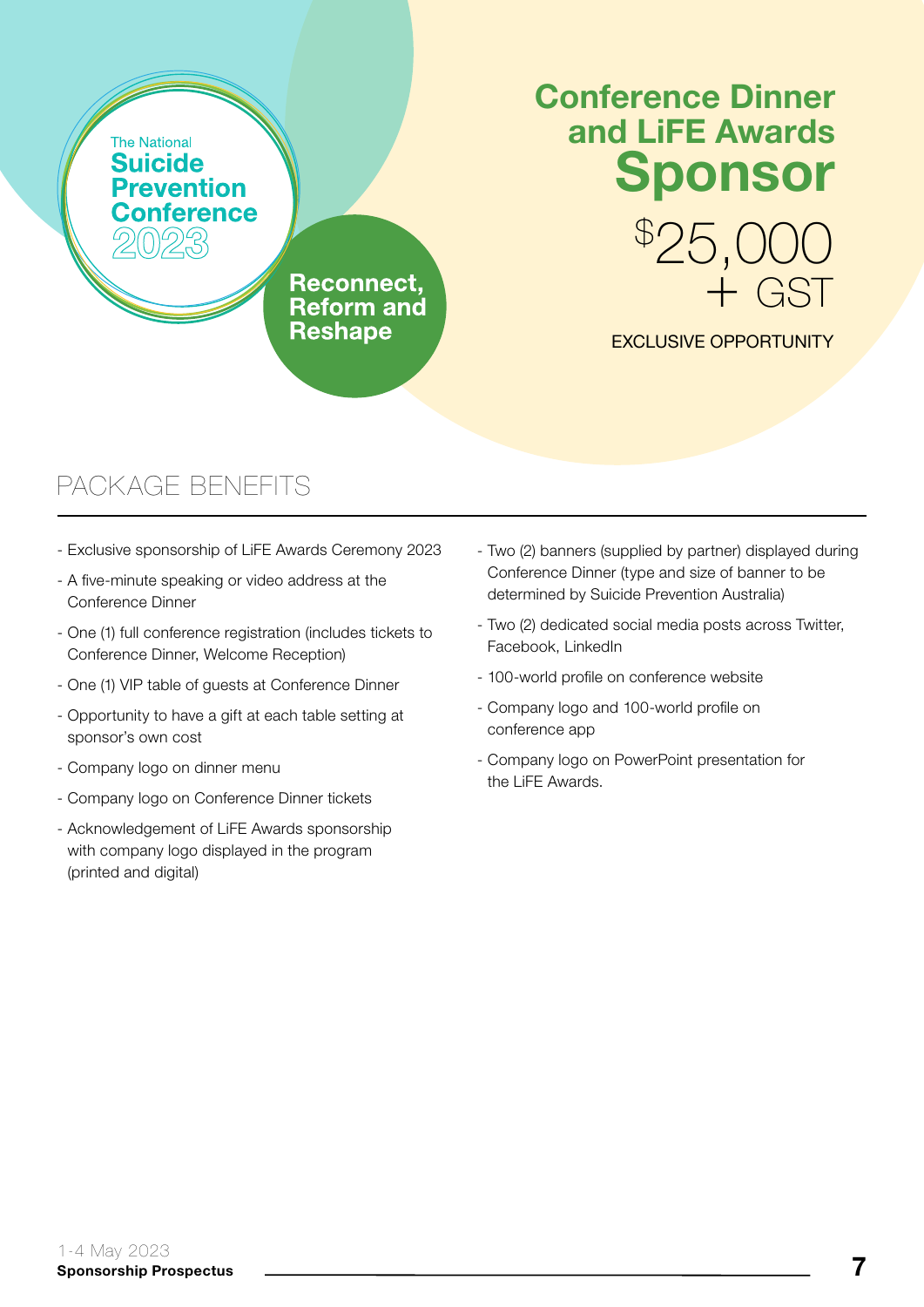## Conference Dinner and LiFE Awards Sponsor

**Reconnect. Reform and Reshape** 

### EXCLUSIVE OPPORTUNITY

\$ 25,000

+ GST

- Exclusive sponsorship of LiFE Awards Ceremony 2023
- A five-minute speaking or video address at the Conference Dinner
- One (1) full conference registration (includes tickets to Conference Dinner, Welcome Reception)
- One (1) VIP table of guests at Conference Dinner
- Opportunity to have a gift at each table setting at sponsor's own cost
- Company logo on dinner menu
- Company logo on Conference Dinner tickets
- Acknowledgement of LiFE Awards sponsorship with company logo displayed in the program (printed and digital)
- Two (2) banners (supplied by partner) displayed during Conference Dinner (type and size of banner to be determined by Suicide Prevention Australia)
- Two (2) dedicated social media posts across Twitter, Facebook, LinkedIn
- 100-world profile on conference website
- Company logo and 100-world profile on conference app
- Company logo on PowerPoint presentation for the LiFE Awards.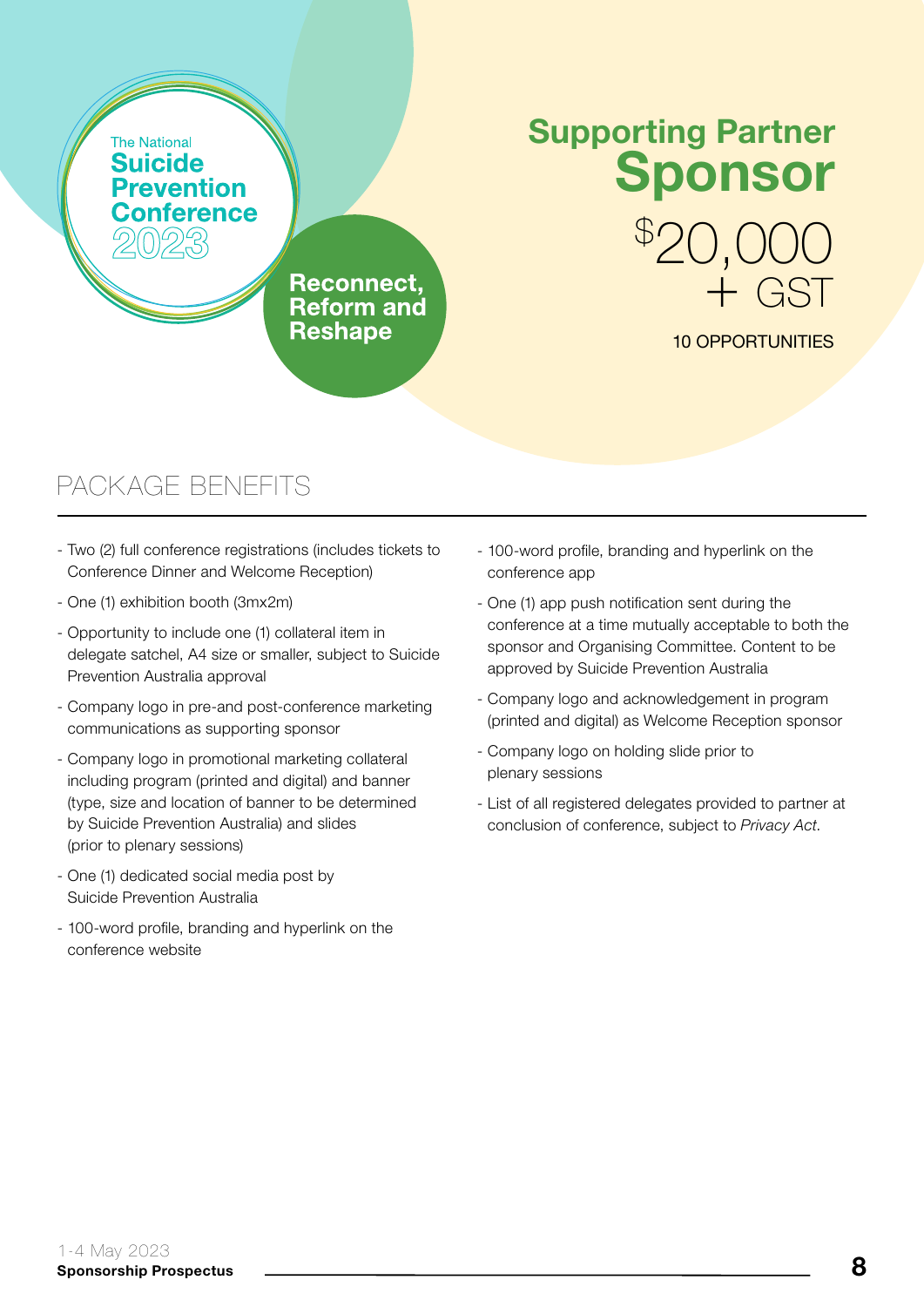# Supporting Partner Sponsor

**Reconnect. Reform and Reshape** 

#### 10 OPPORTUNITIES

+ GST

\$ 20,000

- Two (2) full conference registrations (includes tickets to Conference Dinner and Welcome Reception)
- One (1) exhibition booth (3mx2m)
- Opportunity to include one (1) collateral item in delegate satchel, A4 size or smaller, subject to Suicide Prevention Australia approval
- Company logo in pre-and post-conference marketing communications as supporting sponsor
- Company logo in promotional marketing collateral including program (printed and digital) and banner (type, size and location of banner to be determined by Suicide Prevention Australia) and slides (prior to plenary sessions)
- One (1) dedicated social media post by Suicide Prevention Australia
- 100-word profile, branding and hyperlink on the conference website
- 100-word profile, branding and hyperlink on the conference app
- One (1) app push notification sent during the conference at a time mutually acceptable to both the sponsor and Organising Committee. Content to be approved by Suicide Prevention Australia
- Company logo and acknowledgement in program (printed and digital) as Welcome Reception sponsor
- Company logo on holding slide prior to plenary sessions
- List of all registered delegates provided to partner at conclusion of conference, subject to *Privacy Act*.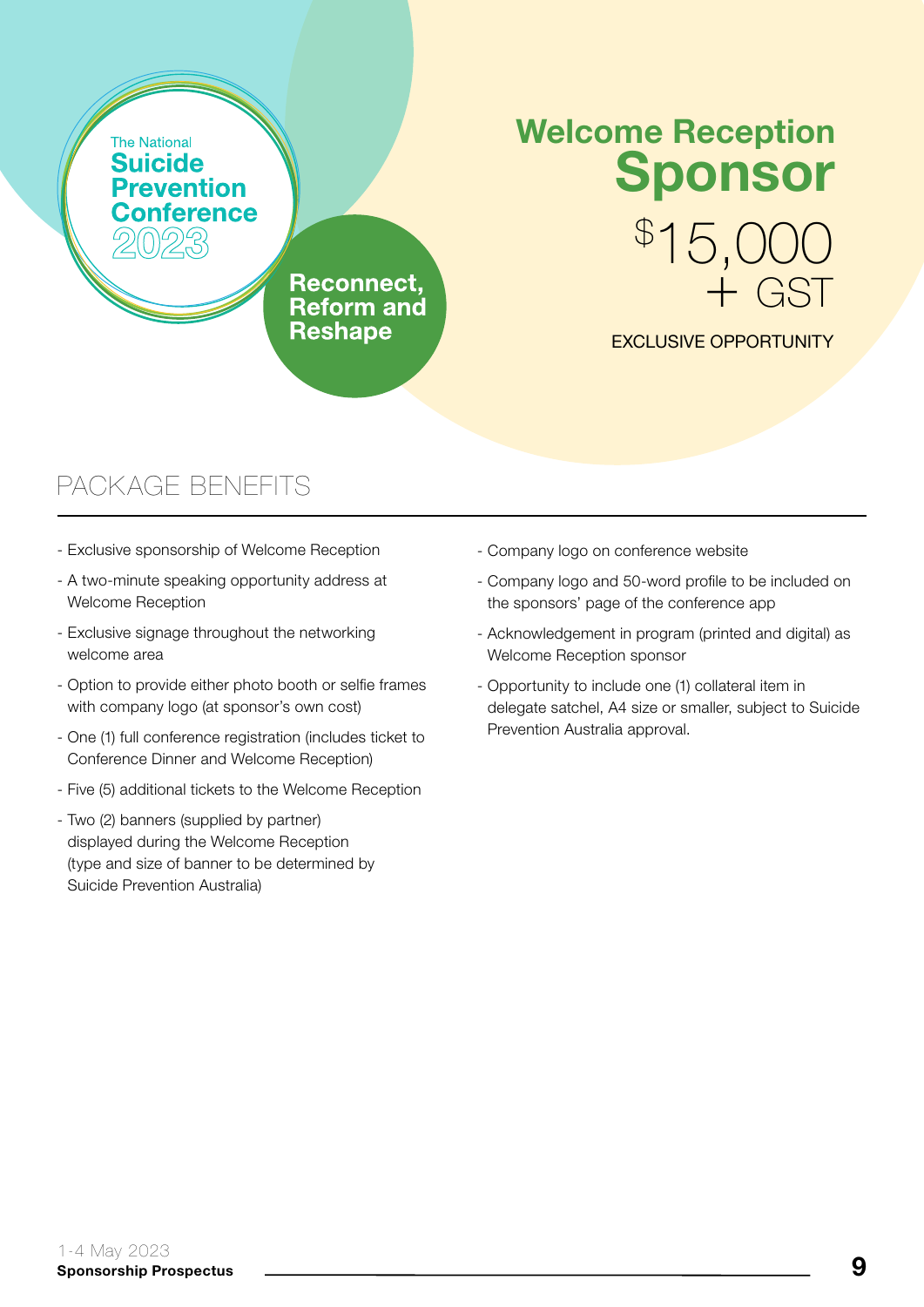# Welcome Reception Sponsor

**Reconnect. Reform and Reshape** 

#### EXCLUSIVE OPPORTUNITY

\$ 15,000

+ GST

- Exclusive sponsorship of Welcome Reception
- A two-minute speaking opportunity address at Welcome Reception
- Exclusive signage throughout the networking welcome area
- Option to provide either photo booth or selfie frames with company logo (at sponsor's own cost)
- One (1) full conference registration (includes ticket to Conference Dinner and Welcome Reception)
- Five (5) additional tickets to the Welcome Reception
- Two (2) banners (supplied by partner) displayed during the Welcome Reception (type and size of banner to be determined by Suicide Prevention Australia)
- Company logo on conference website
- Company logo and 50-word profile to be included on the sponsors' page of the conference app
- Acknowledgement in program (printed and digital) as Welcome Reception sponsor
- Opportunity to include one (1) collateral item in delegate satchel, A4 size or smaller, subject to Suicide Prevention Australia approval.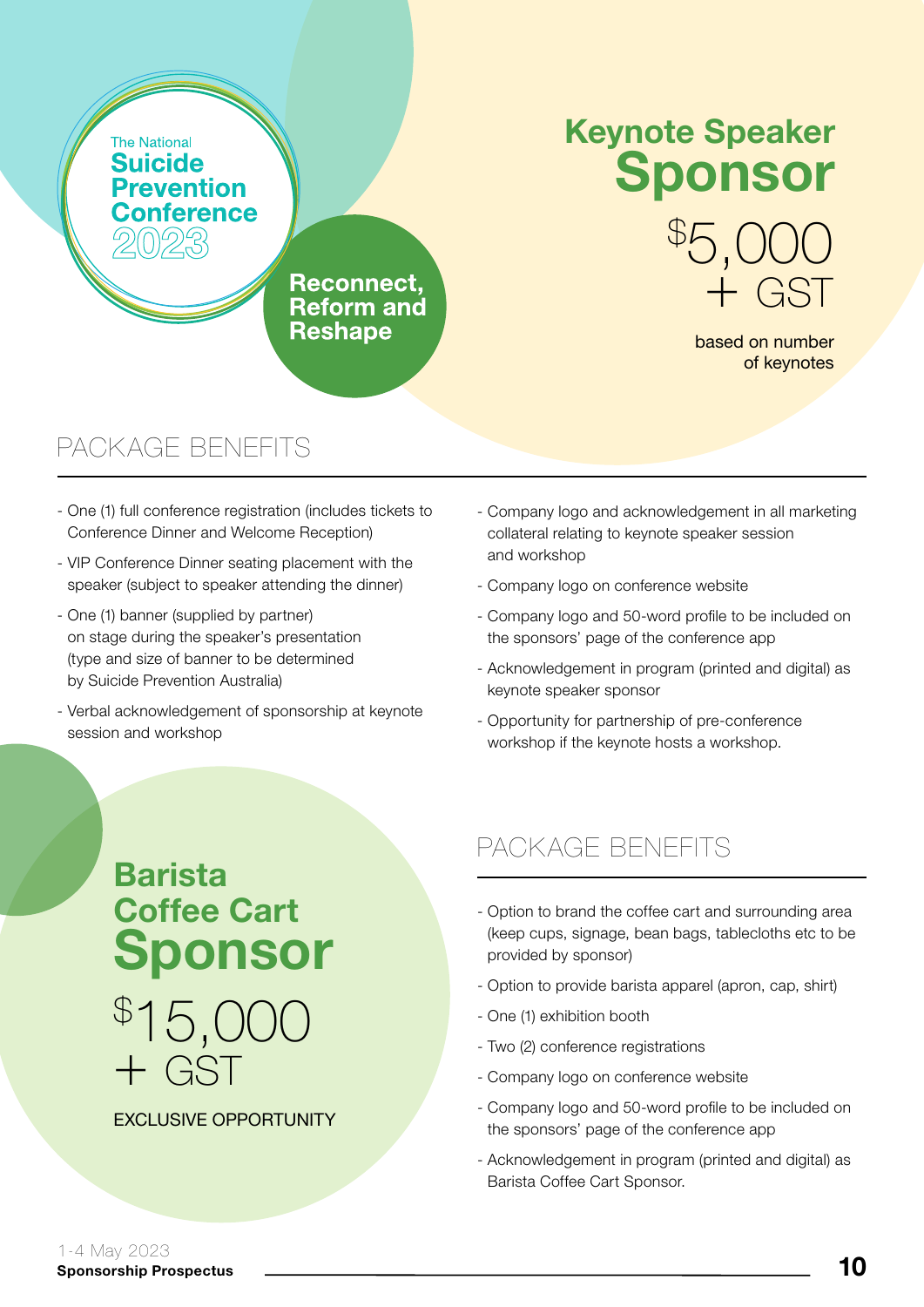# Keynote Speaker Sponsor

Reconnect, **Reform and Reshape** 

based on number of keynotes

+ GST

\$ 5,000

#### PACKAGE BENEFITS

- One (1) full conference registration (includes tickets to Conference Dinner and Welcome Reception)
- VIP Conference Dinner seating placement with the speaker (subject to speaker attending the dinner)
- One (1) banner (supplied by partner) on stage during the speaker's presentation (type and size of banner to be determined by Suicide Prevention Australia)
- Verbal acknowledgement of sponsorship at keynote session and workshop
- Company logo and acknowledgement in all marketing collateral relating to keynote speaker session and workshop
- Company logo on conference website
- Company logo and 50-word profile to be included on the sponsors' page of the conference app
- Acknowledgement in program (printed and digital) as keynote speaker sponsor
- Opportunity for partnership of pre-conference workshop if the keynote hosts a workshop.

# \$ 15,000 Barista Coffee Cart Sponsor

#### **EXCLUSIVE OPPORTUNITY**

+ GST

- Option to brand the coffee cart and surrounding area (keep cups, signage, bean bags, tablecloths etc to be provided by sponsor)
- Option to provide barista apparel (apron, cap, shirt)
- One (1) exhibition booth
- Two (2) conference registrations
- Company logo on conference website
- Company logo and 50-word profile to be included on the sponsors' page of the conference app
- Acknowledgement in program (printed and digital) as Barista Coffee Cart Sponsor.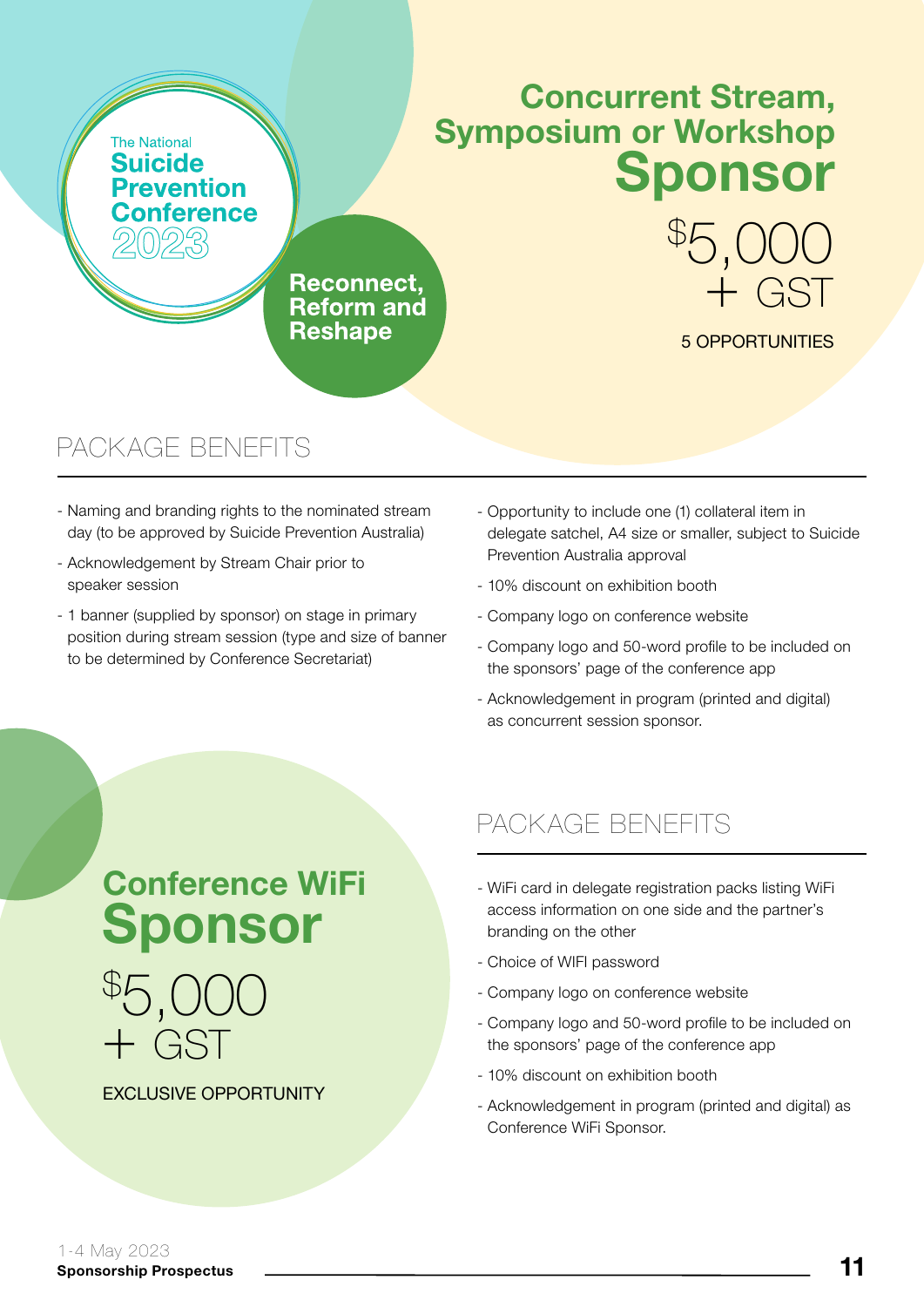### Concurrent Stream, Symposium or Workshop Sponsor

\$ 5,000

5 OPPORTUNITIES

+ GST

Reconnect, **Reform and Reshape** 

#### PACKAGE BENEFITS

- Naming and branding rights to the nominated stream day (to be approved by Suicide Prevention Australia)
- Acknowledgement by Stream Chair prior to speaker session
- 1 banner (supplied by sponsor) on stage in primary position during stream session (type and size of banner to be determined by Conference Secretariat)
- Opportunity to include one (1) collateral item in delegate satchel, A4 size or smaller, subject to Suicide Prevention Australia approval
- 10% discount on exhibition booth
- Company logo on conference website
- Company logo and 50-word profile to be included on the sponsors' page of the conference app
- Acknowledgement in program (printed and digital) as concurrent session sponsor.

# Conference WiFi Sponsor



#### EXCLUSIVE OPPORTUNITY

- WiFi card in delegate registration packs listing WiFi access information on one side and the partner's branding on the other
- Choice of WIFI password
- Company logo on conference website
- Company logo and 50-word profile to be included on the sponsors' page of the conference app
- 10% discount on exhibition booth
- Acknowledgement in program (printed and digital) as Conference WiFi Sponsor.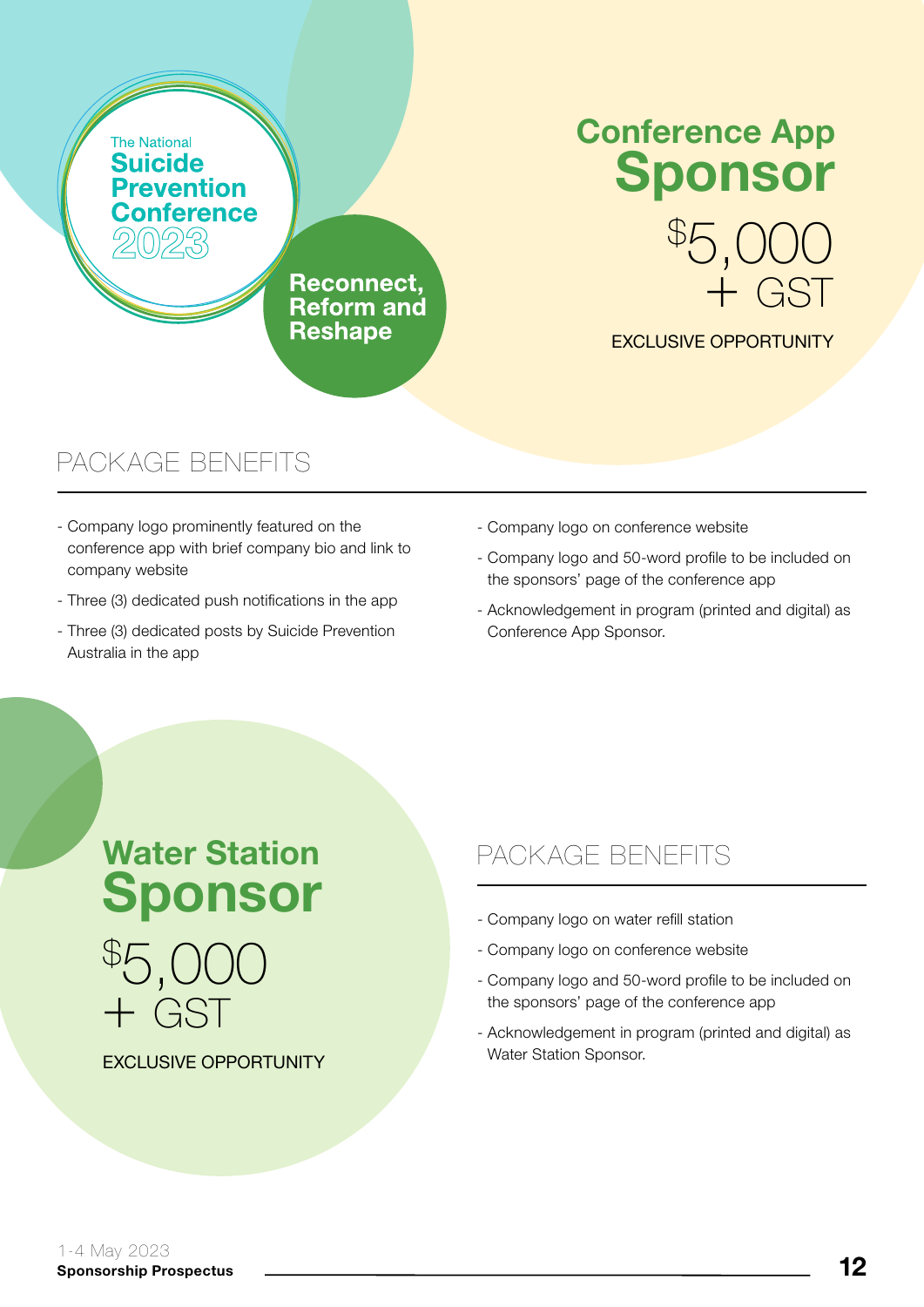# Conference App Sponsor

**Reconnect. Reform and Reshape** 

#### EXCLUSIVE OPPORTUNITY

\$ 5,000

+ GST

#### PACKAGE BENEFITS

- Company logo prominently featured on the conference app with brief company bio and link to company website
- Three (3) dedicated push notifications in the app
- Three (3) dedicated posts by Suicide Prevention Australia in the app
- Company logo on conference website
- Company logo and 50-word profile to be included on the sponsors' page of the conference app
- Acknowledgement in program (printed and digital) as Conference App Sponsor.

\$ 5,000 + GST Water Station Sponsor

#### EXCLUSIVE OPPORTUNITY

- Company logo on water refill station
- Company logo on conference website
- Company logo and 50-word profile to be included on the sponsors' page of the conference app
- Acknowledgement in program (printed and digital) as Water Station Sponsor.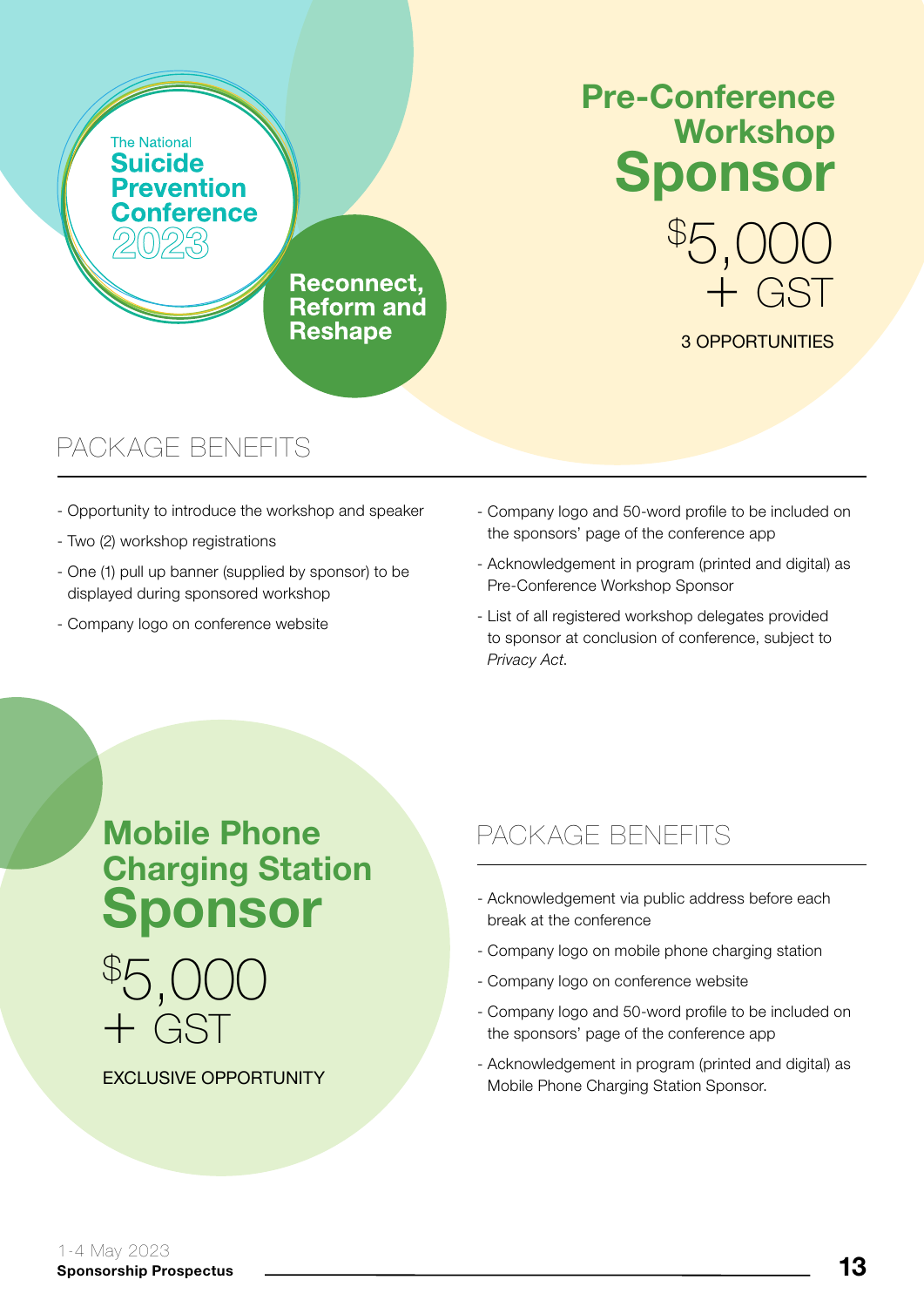

### Pre-Conference Workshop Sponsor

\$ 5,000

3 OPPORTUNITIES

+ GST

**Reconnect. Reform and Reshape** 

#### PACKAGE BENEFITS

- Opportunity to introduce the workshop and speaker
- Two (2) workshop registrations
- One (1) pull up banner (supplied by sponsor) to be displayed during sponsored workshop
- Company logo on conference website
- Company logo and 50-word profile to be included on the sponsors' page of the conference app
- Acknowledgement in program (printed and digital) as Pre-Conference Workshop Sponsor
- List of all registered workshop delegates provided to sponsor at conclusion of conference, subject to *Privacy Act*.

Mobile Phone Charging Station Sponsor



EXCLUSIVE OPPORTUNITY

- Acknowledgement via public address before each break at the conference
- Company logo on mobile phone charging station
- Company logo on conference website
- Company logo and 50-word profile to be included on the sponsors' page of the conference app
- Acknowledgement in program (printed and digital) as Mobile Phone Charging Station Sponsor.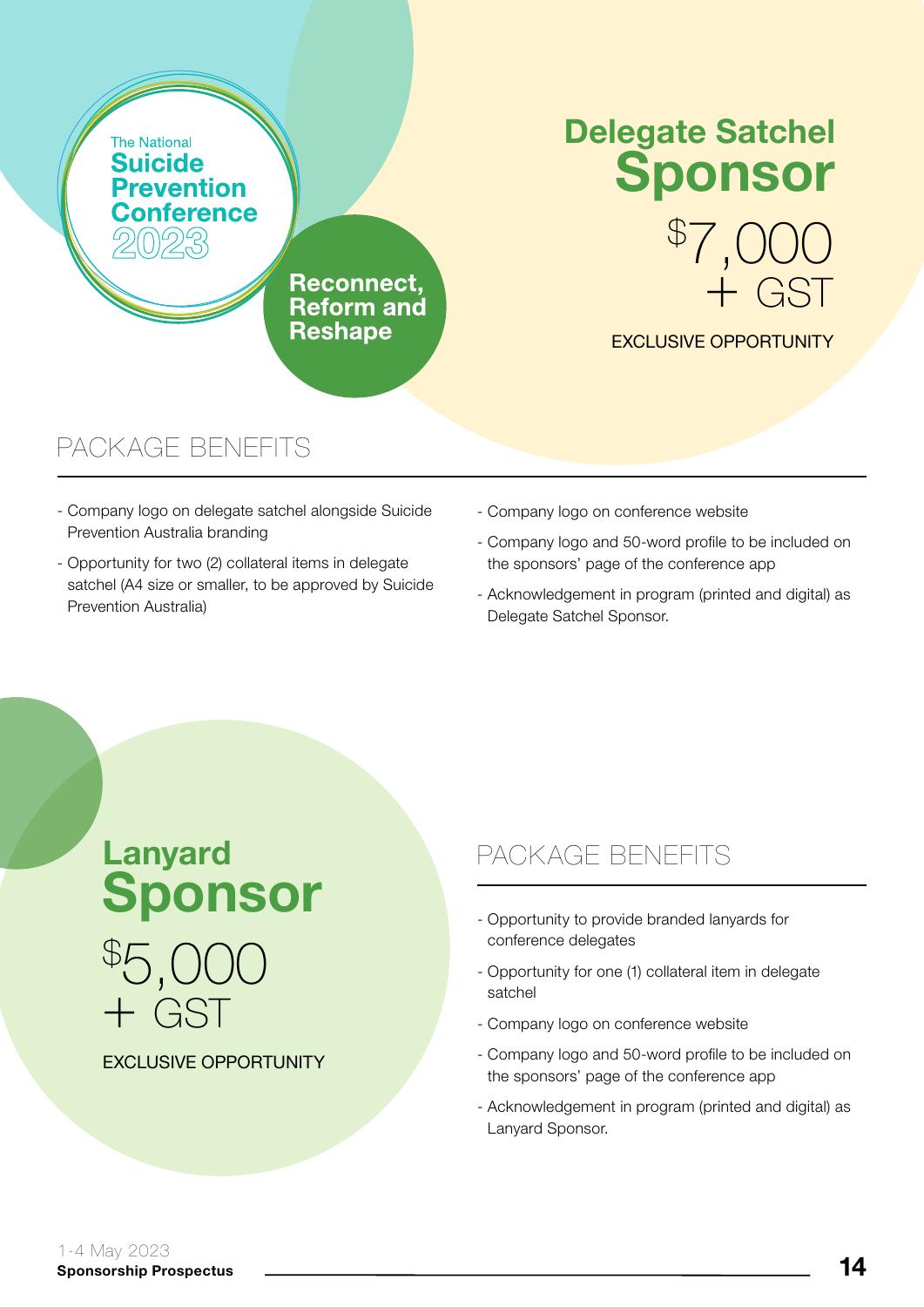

# Delegate Satchel Sponsor

**Reconnect. Reform and Reshape** 

# \$ 7,000 + GST

EXCLUSIVE OPPORTUNITY

#### PACKAGE BENEFITS

- Company logo on delegate satchel alongside Suicide Prevention Australia branding
- Opportunity for two (2) collateral items in delegate satchel (A4 size or smaller, to be approved by Suicide Prevention Australia)
- Company logo on conference website
- Company logo and 50-word profile to be included on the sponsors' page of the conference app
- Acknowledgement in program (printed and digital) as Delegate Satchel Sponsor.

# \$ 5,000 + GST Lanyard Sponsor

EXCLUSIVE OPPORTUNITY

- Opportunity to provide branded lanyards for conference delegates
- Opportunity for one (1) collateral item in delegate satchel
- Company logo on conference website
- Company logo and 50-word profile to be included on the sponsors' page of the conference app
- Acknowledgement in program (printed and digital) as Lanyard Sponsor.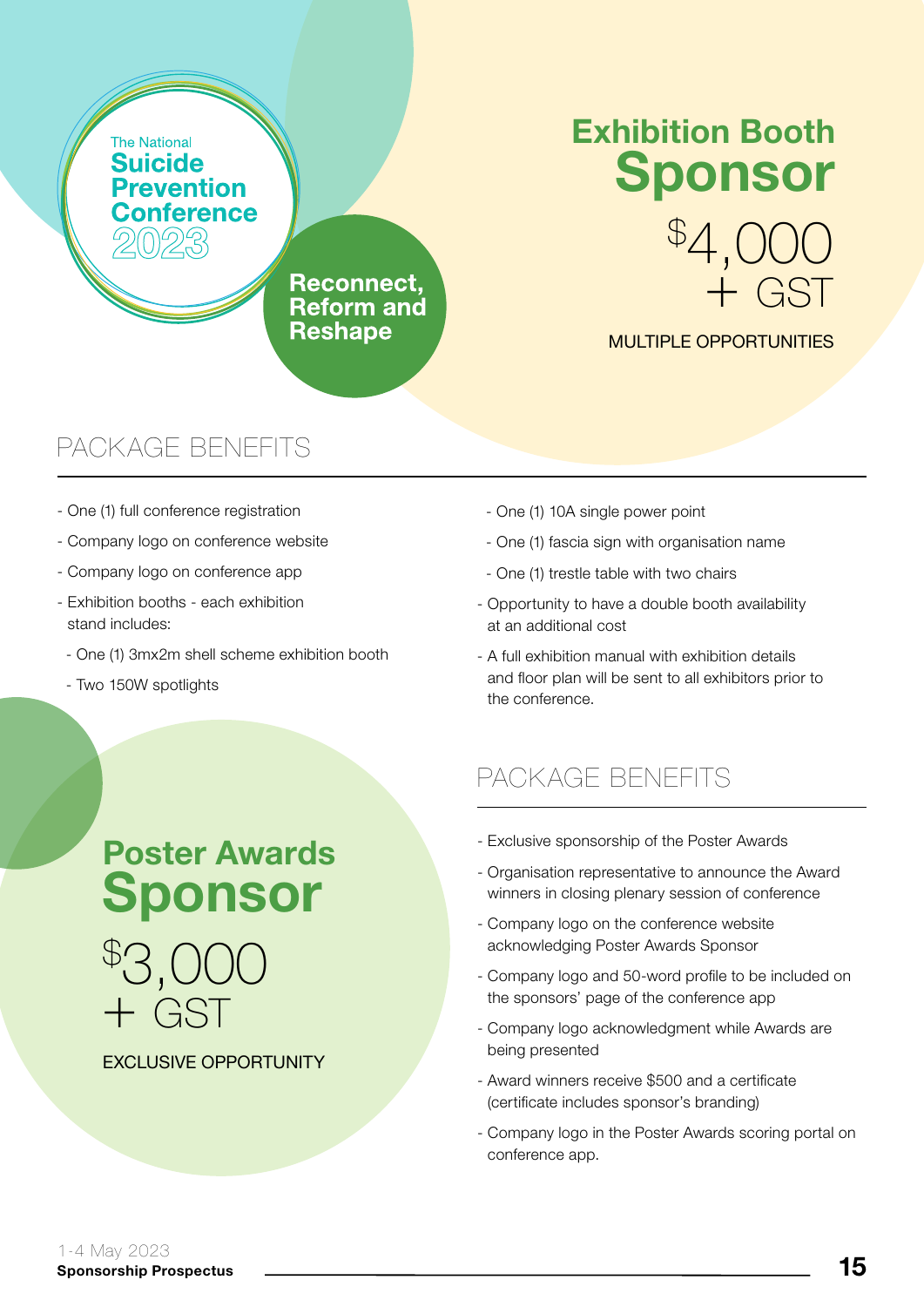# Exhibition Booth Sponsor

\$ 4,000

MULTIPLE OPPORTUNITIES

+ GST

Reconnect, **Reform and Reshape** 

#### PACKAGE BENEFITS

- One (1) full conference registration
- Company logo on conference website
- Company logo on conference app
- Exhibition booths each exhibition stand includes:
- One (1) 3mx2m shell scheme exhibition booth

Poster Awards

Sponsor

- Two 150W spotlights

- One (1) 10A single power point
- One (1) fascia sign with organisation name
- One (1) trestle table with two chairs
- Opportunity to have a double booth availability at an additional cost
- A full exhibition manual with exhibition details and floor plan will be sent to all exhibitors prior to the conference.

#### PACKAGE BENEFITS

- Exclusive sponsorship of the Poster Awards
- Organisation representative to announce the Award winners in closing plenary session of conference
- Company logo on the conference website acknowledging Poster Awards Sponsor
- Company logo and 50-word profile to be included on the sponsors' page of the conference app
- Company logo acknowledgment while Awards are being presented
- Award winners receive \$500 and a certificate (certificate includes sponsor's branding)
- Company logo in the Poster Awards scoring portal on conference app.

EXCLUSIVE OPPORTUNITY

\$ 3,000

+ GST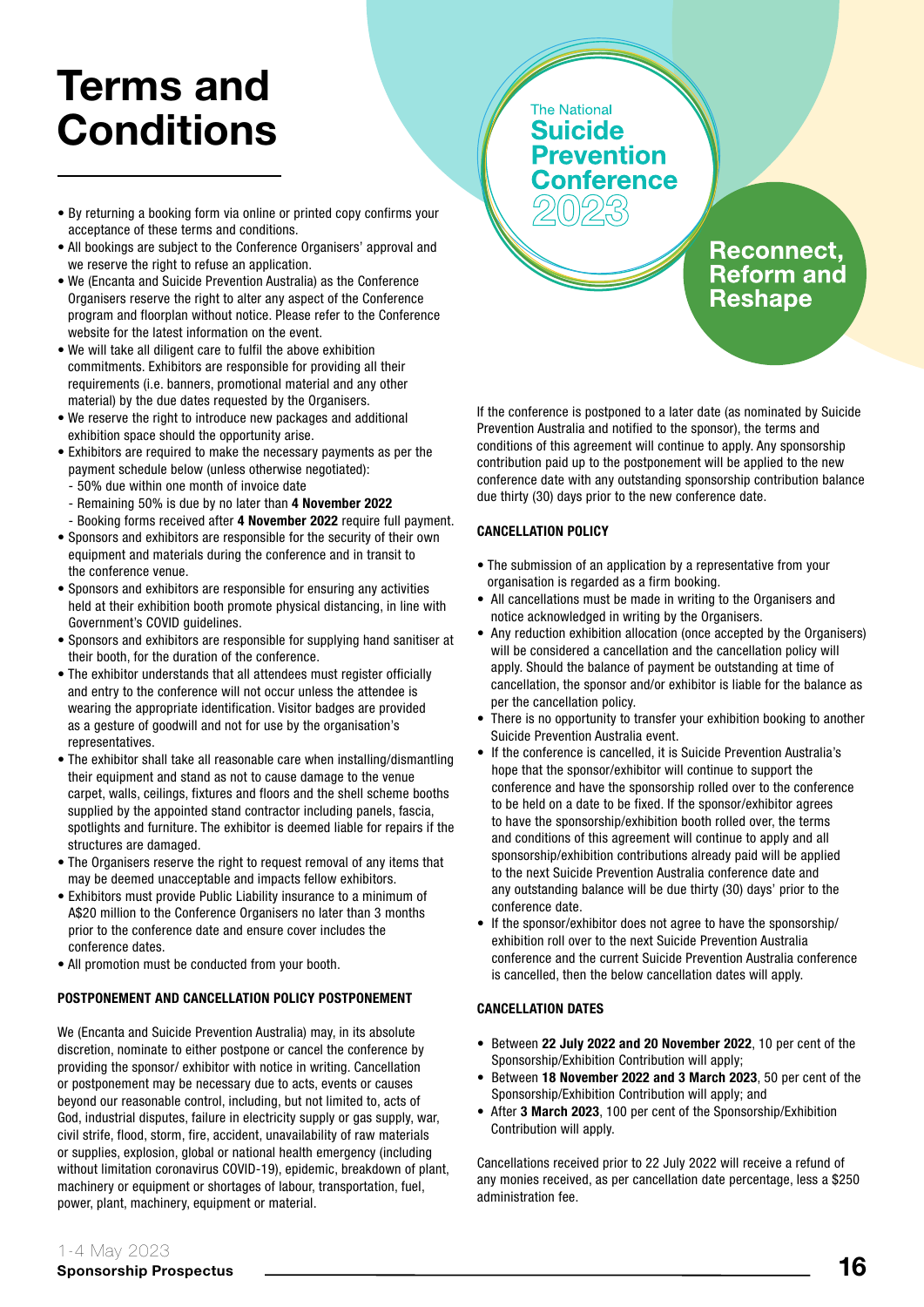# Terms and **Conditions**

- By returning a booking form via online or printed copy confirms your acceptance of these terms and conditions.
- All bookings are subject to the Conference Organisers' approval and we reserve the right to refuse an application.
- We (Encanta and Suicide Prevention Australia) as the Conference Organisers reserve the right to alter any aspect of the Conference program and floorplan without notice. Please refer to the Conference website for the latest information on the event.
- We will take all diligent care to fulfil the above exhibition commitments. Exhibitors are responsible for providing all their requirements (i.e. banners, promotional material and any other material) by the due dates requested by the Organisers.
- We reserve the right to introduce new packages and additional exhibition space should the opportunity arise.
- Exhibitors are required to make the necessary payments as per the payment schedule below (unless otherwise negotiated):
	- 50% due within one month of invoice date
	- Remaining 50% is due by no later than 4 November 2022
- Booking forms received after 4 November 2022 require full payment.
- Sponsors and exhibitors are responsible for the security of their own equipment and materials during the conference and in transit to the conference venue.
- Sponsors and exhibitors are responsible for ensuring any activities held at their exhibition booth promote physical distancing, in line with Government's COVID quidelines.
- Sponsors and exhibitors are responsible for supplying hand sanitiser at their booth, for the duration of the conference.
- The exhibitor understands that all attendees must register officially and entry to the conference will not occur unless the attendee is wearing the appropriate identification. Visitor badges are provided as a gesture of goodwill and not for use by the organisation's representatives.
- The exhibitor shall take all reasonable care when installing/dismantling their equipment and stand as not to cause damage to the venue carpet, walls, ceilings, fixtures and floors and the shell scheme booths supplied by the appointed stand contractor including panels, fascia, spotlights and furniture. The exhibitor is deemed liable for repairs if the structures are damaged.
- The Organisers reserve the right to request removal of any items that may be deemed unacceptable and impacts fellow exhibitors.
- Exhibitors must provide Public Liability insurance to a minimum of A\$20 million to the Conference Organisers no later than 3 months prior to the conference date and ensure cover includes the conference dates.
- All promotion must be conducted from your booth.

#### POSTPONEMENT AND CANCELLATION POLICY POSTPONEMENT

We (Encanta and Suicide Prevention Australia) may, in its absolute discretion, nominate to either postpone or cancel the conference by providing the sponsor/ exhibitor with notice in writing. Cancellation or postponement may be necessary due to acts, events or causes beyond our reasonable control, including, but not limited to, acts of God, industrial disputes, failure in electricity supply or gas supply, war, civil strife, flood, storm, fire, accident, unavailability of raw materials or supplies, explosion, global or national health emergency (including without limitation coronavirus COVID-19), epidemic, breakdown of plant, machinery or equipment or shortages of labour, transportation, fuel, power, plant, machinery, equipment or material.



If the conference is postponed to a later date (as nominated by Suicide Prevention Australia and notified to the sponsor), the terms and conditions of this agreement will continue to apply. Any sponsorship contribution paid up to the postponement will be applied to the new conference date with any outstanding sponsorship contribution balance due thirty (30) days prior to the new conference date.

#### CANCELLATION POLICY

- The submission of an application by a representative from your organisation is regarded as a firm booking.
- All cancellations must be made in writing to the Organisers and notice acknowledged in writing by the Organisers.
- Any reduction exhibition allocation (once accepted by the Organisers) will be considered a cancellation and the cancellation policy will apply. Should the balance of payment be outstanding at time of cancellation, the sponsor and/or exhibitor is liable for the balance as per the cancellation policy.
- There is no opportunity to transfer your exhibition booking to another Suicide Prevention Australia event.
- If the conference is cancelled, it is Suicide Prevention Australia's hope that the sponsor/exhibitor will continue to support the conference and have the sponsorship rolled over to the conference to be held on a date to be fixed. If the sponsor/exhibitor agrees to have the sponsorship/exhibition booth rolled over, the terms and conditions of this agreement will continue to apply and all sponsorship/exhibition contributions already paid will be applied to the next Suicide Prevention Australia conference date and any outstanding balance will be due thirty (30) days' prior to the conference date.
- If the sponsor/exhibitor does not agree to have the sponsorship/ exhibition roll over to the next Suicide Prevention Australia conference and the current Suicide Prevention Australia conference is cancelled, then the below cancellation dates will apply.

#### CANCELLATION DATES

- Between 22 July 2022 and 20 November 2022, 10 per cent of the Sponsorship/Exhibition Contribution will apply;
- Between 18 November 2022 and 3 March 2023, 50 per cent of the Sponsorship/Exhibition Contribution will apply; and
- After 3 March 2023, 100 per cent of the Sponsorship/Exhibition Contribution will apply.

Cancellations received prior to 22 July 2022 will receive a refund of any monies received, as per cancellation date percentage, less a \$250 administration fee.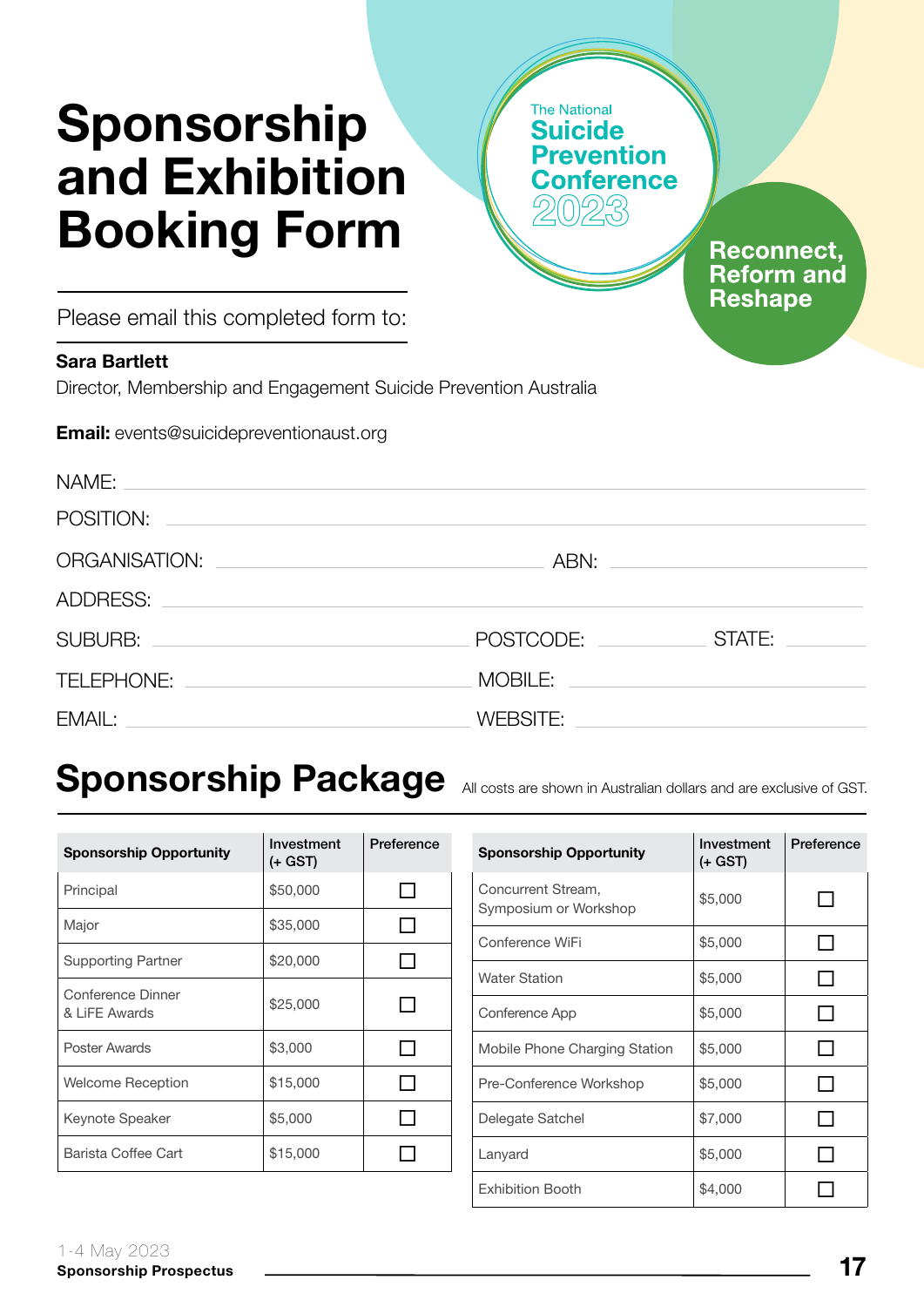# Sponsorship and Exhibition Booking Form

**The National Suicide** revention onference

> **Reconnect, Reform and Reshape**

Please email this completed form to:

#### Sara Bartlett

Director, Membership and Engagement Suicide Prevention Australia

Email: events@suicidepreventionaust.org

| NAME:<br>and the control of the control of the control of the control of the control of the control of the control of the              |           |                                                                                                                      |
|----------------------------------------------------------------------------------------------------------------------------------------|-----------|----------------------------------------------------------------------------------------------------------------------|
| POSITION:                                                                                                                              |           |                                                                                                                      |
| ORGANISATION:<br><u> 1989 - Johann Harry Harry Harry Harry Harry Harry Harry Harry Harry Harry Harry Harry Harry Harry Harry Harry</u> |           |                                                                                                                      |
| ADDRESS:<br><u> 1989 - Johann John Stone, markin sanadi shine a shekara ta 1989 - An tsara tsara tsara tsara tsara tsara tsa</u>       |           |                                                                                                                      |
| SUBURB: <u>________________________________</u>                                                                                        | POSTCODE: | STATE:                                                                                                               |
| TELEPHONE:                                                                                                                             | MOBILE:   | <u> 1980 - Andrea State Barbara, amerikan personal di sebagai personal di sebagai personal di sebagai personal d</u> |
| EMAIL:<br><u> 1989 - Johann Stein, mars an deus Amerikaansk kommunister (</u>                                                          | WEBSITE:  |                                                                                                                      |

# Sponsorship Package All costs are shown in Australian dollars and are exclusive of GST.

| <b>Sponsorship Opportunity</b>     | Investment<br>(+ GST) | Preference |
|------------------------------------|-----------------------|------------|
| Principal                          | \$50,000              |            |
| Major                              | \$35,000              |            |
| <b>Supporting Partner</b>          | \$20,000              |            |
| Conference Dinner<br>& LiFE Awards | \$25,000              |            |
| Poster Awards                      | \$3,000               |            |
| Welcome Reception                  | \$15,000              |            |
| Keynote Speaker                    | \$5,000               |            |
| Barista Coffee Cart                | \$15,000              |            |

| <b>Sponsorship Opportunity</b>              | Investment<br>(+ GST) | Preference |
|---------------------------------------------|-----------------------|------------|
| Concurrent Stream,<br>Symposium or Workshop | \$5,000               |            |
| Conference WiFi                             | \$5,000               |            |
| <b>Water Station</b>                        | \$5,000               |            |
| Conference App                              | \$5,000               |            |
| Mobile Phone Charging Station               | \$5,000               |            |
| Pre-Conference Workshop                     | \$5,000               |            |
| Delegate Satchel                            | \$7,000               |            |
| Lanyard                                     | \$5,000               |            |
| <b>Exhibition Booth</b>                     | \$4,000               |            |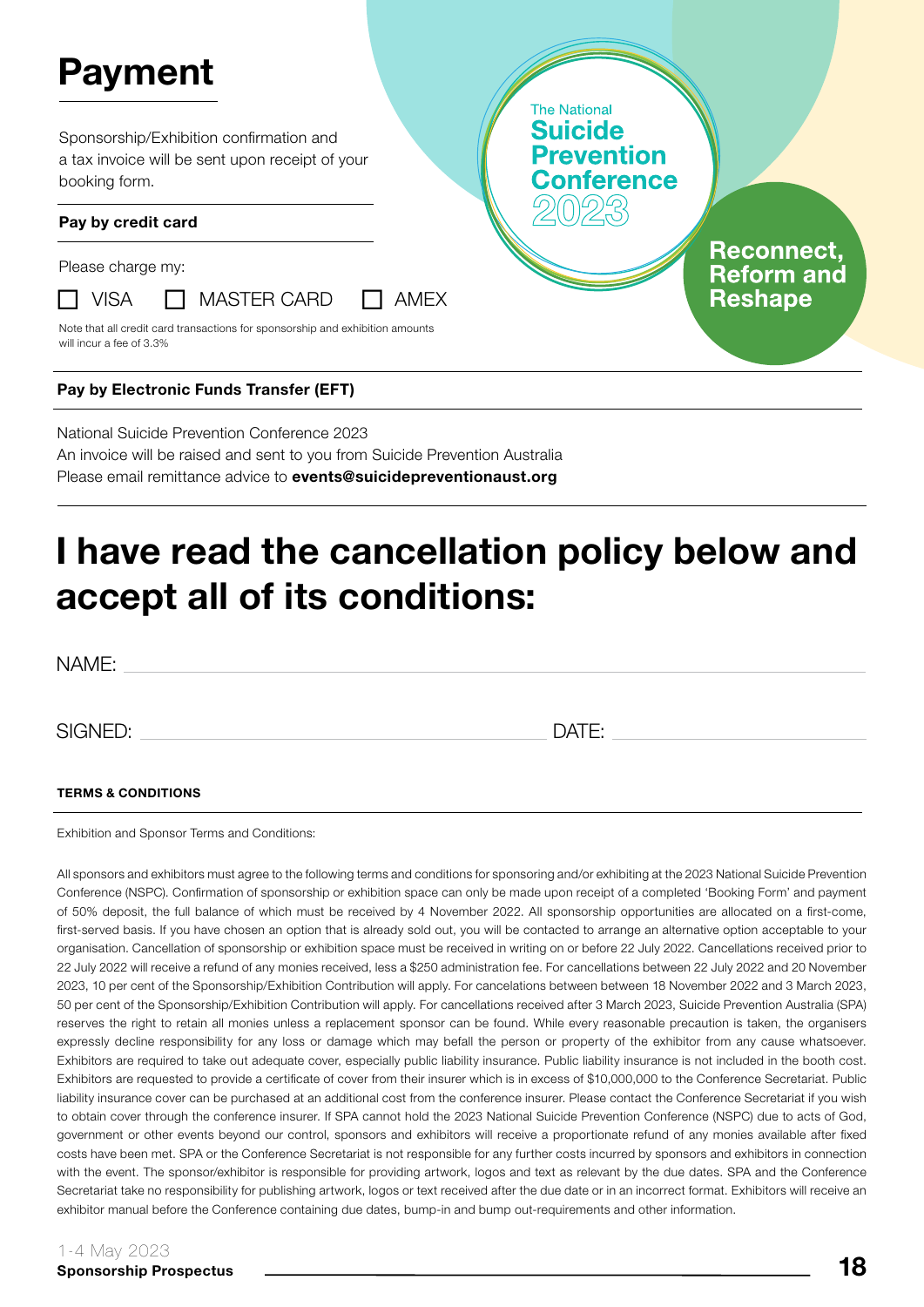# Payment

Sponsorship/Exhibition confirmation and a tax invoice will be sent upon receipt of your booking form.

#### Pay by credit card

Please charge my:



 $\Box$  VISA  $\Box$  MASTER CARD  $\Box$  AMEX

Note that all credit card transactions for sponsorship and exhibition amounts will incur a fee of 3.3%

#### Pay by Electronic Funds Transfer (EFT)

National Suicide Prevention Conference 2023 An invoice will be raised and sent to you from Suicide Prevention Australia Please email remittance advice to **events@suicidepreventionaust.org** 

## I have read the cancellation policy below and accept all of its conditions:

NAME:

SIGNED: DATE:

**The National Suicide** 

**Prevention** onference

> **Reconnect. Reform and Reshape**

#### TERMS & CONDITIONS

Exhibition and Sponsor Terms and Conditions:

All sponsors and exhibitors must agree to the following terms and conditions for sponsoring and/or exhibiting at the 2023 National Suicide Prevention Conference (NSPC). Confirmation of sponsorship or exhibition space can only be made upon receipt of a completed 'Booking Form' and payment of 50% deposit, the full balance of which must be received by 4 November 2022. All sponsorship opportunities are allocated on a first-come, first-served basis. If you have chosen an option that is already sold out, you will be contacted to arrange an alternative option acceptable to your organisation. Cancellation of sponsorship or exhibition space must be received in writing on or before 22 July 2022. Cancellations received prior to 22 July 2022 will receive a refund of any monies received, less a \$250 administration fee. For cancellations between 22 July 2022 and 20 November 2023, 10 per cent of the Sponsorship/Exhibition Contribution will apply. For cancelations between between 18 November 2022 and 3 March 2023, 50 per cent of the Sponsorship/Exhibition Contribution will apply. For cancellations received after 3 March 2023, Suicide Prevention Australia (SPA) reserves the right to retain all monies unless a replacement sponsor can be found. While every reasonable precaution is taken, the organisers expressly decline responsibility for any loss or damage which may befall the person or property of the exhibitor from any cause whatsoever. Exhibitors are required to take out adequate cover, especially public liability insurance. Public liability insurance is not included in the booth cost. Exhibitors are requested to provide a certificate of cover from their insurer which is in excess of \$10,000,000 to the Conference Secretariat. Public liability insurance cover can be purchased at an additional cost from the conference insurer. Please contact the Conference Secretariat if you wish to obtain cover through the conference insurer. If SPA cannot hold the 2023 National Suicide Prevention Conference (NSPC) due to acts of God, government or other events beyond our control, sponsors and exhibitors will receive a proportionate refund of any monies available after fixed costs have been met. SPA or the Conference Secretariat is not responsible for any further costs incurred by sponsors and exhibitors in connection with the event. The sponsor/exhibitor is responsible for providing artwork, logos and text as relevant by the due dates. SPA and the Conference Secretariat take no responsibility for publishing artwork, logos or text received after the due date or in an incorrect format. Exhibitors will receive an exhibitor manual before the Conference containing due dates, bump-in and bump out-requirements and other information.